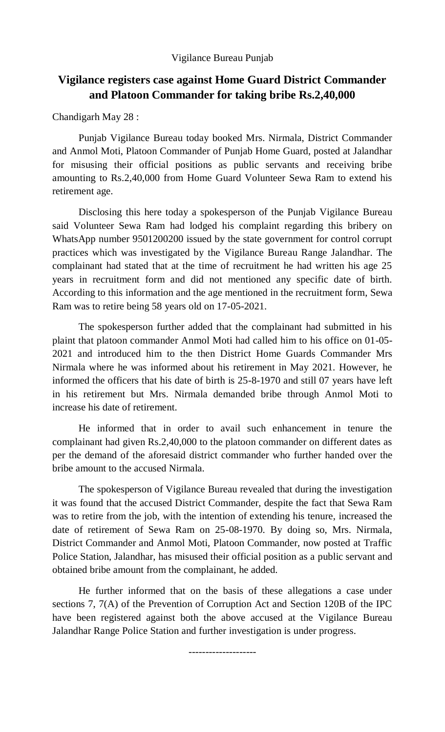## Vigilance Bureau Punjab

## **Vigilance registers case against Home Guard District Commander and Platoon Commander for taking bribe Rs.2,40,000**

Chandigarh May 28 :

Punjab Vigilance Bureau today booked Mrs. Nirmala, District Commander and Anmol Moti, Platoon Commander of Punjab Home Guard, posted at Jalandhar for misusing their official positions as public servants and receiving bribe amounting to Rs.2,40,000 from Home Guard Volunteer Sewa Ram to extend his retirement age.

 Disclosing this here today a spokesperson of the Punjab Vigilance Bureau said Volunteer Sewa Ram had lodged his complaint regarding this bribery on WhatsApp number 9501200200 issued by the state government for control corrupt practices which was investigated by the Vigilance Bureau Range Jalandhar. The complainant had stated that at the time of recruitment he had written his age 25 years in recruitment form and did not mentioned any specific date of birth. According to this information and the age mentioned in the recruitment form, Sewa Ram was to retire being 58 years old on 17-05-2021.

 The spokesperson further added that the complainant had submitted in his plaint that platoon commander Anmol Moti had called him to his office on 01-05- 2021 and introduced him to the then District Home Guards Commander Mrs Nirmala where he was informed about his retirement in May 2021. However, he informed the officers that his date of birth is 25-8-1970 and still 07 years have left in his retirement but Mrs. Nirmala demanded bribe through Anmol Moti to increase his date of retirement.

He informed that in order to avail such enhancement in tenure the complainant had given Rs.2,40,000 to the platoon commander on different dates as per the demand of the aforesaid district commander who further handed over the bribe amount to the accused Nirmala.

 The spokesperson of Vigilance Bureau revealed that during the investigation it was found that the accused District Commander, despite the fact that Sewa Ram was to retire from the job, with the intention of extending his tenure, increased the date of retirement of Sewa Ram on 25-08-1970. By doing so, Mrs. Nirmala, District Commander and Anmol Moti, Platoon Commander, now posted at Traffic Police Station, Jalandhar, has misused their official position as a public servant and obtained bribe amount from the complainant, he added.

 He further informed that on the basis of these allegations a case under sections 7, 7(A) of the Prevention of Corruption Act and Section 120B of the IPC have been registered against both the above accused at the Vigilance Bureau Jalandhar Range Police Station and further investigation is under progress.

--------------------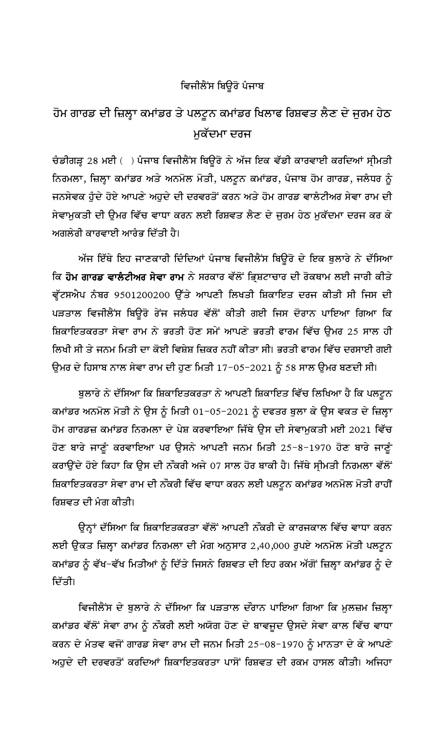## ਵਿਜੀਲੈਂਸ ਬਿਊਰੋ ਪੰਜਾਬ

## ਹੋਮ ਗਾਰਡ ਦੀ ਜ਼ਿਲ੍ਹਾ ਕਮਾਂਡਰ ਤੇ ਪਲਟੂਨ ਕਮਾਂਡਰ ਖਿਲਾਫ ਰਿਸ਼ਵਤ ਲੈਣ ਦੇ ਜੁਰਮ ਹੇਠ ਮਕੱਦਮਾ ਦਰਜ

ਚੰਡੀਗੜ੍ਹ 28 ਮਈ ( ) ਪੰਜਾਬ ਵਿਜੀਲੈਂਸ ਬਿਊਰੋ ਨੇ ਅੱਜ ਇਕ ਵੱਡੀ ਕਾਰਵਾਈ ਕਰਦਿਆਂ ਸ੍ਰੀਮਤੀ ਨਿਰਮਲਾ, ਜ਼ਿਲ੍ਹਾ ਕਮਾਂਡਰ ਅਤੇ ਅਨਮੋਲ ਮੋਤੀ, ਪਲਟੂਨ ਕਮਾਂਡਰ, ਪੰਜਾਬ ਹੋਮ ਗਾਰਡ, ਜਲੰਧਰ ਨੂੰ ਜਨਸੇਵਕ ਹੁੰਦੇ ਹੋਏ ਆਪਣੇ ਅਹੁਦੇ ਦੀ ਦਰਵਰਤੋਂ ਕਰਨ ਅਤੇ ਹੋਮ ਗਾਰਡ ਵਾਲੰਟੀਅਰ ਸੇਵਾ ਰਾਮ ਦੀ ਸੇਵਾਮੁਕਤੀ ਦੀ ਉਮਰ ਵਿੱਚ ਵਾਧਾ ਕਰਨ ਲਈ ਰਿਸ਼ਵਤ ਲੈਣ ਦੇ ਜੁਰਮ ਹੇਠ ਮੁਕੱਦਮਾ ਦਰਜ ਕਰ ਕੇ ਅਗਲੇਰੀ ਕਾਰਵਾਈ ਆਰੰਭ ਦਿੱਤੀ ਹੈ।

ਅੱਜ ਇੱਥੇ ਇਹ ਜਾਣਕਾਰੀ ਦਿੰਦਿਆਂ ਪੰਜਾਬ ਵਿਜੀਲੈਂਸ ਬਿਊਰੋ ਦੇ ਇਕ ਬੁਲਾਰੇ ਨੇ ਦੱਸਿਆ ਕਿ ਹੋਮ ਗਾਰਡ ਵਾਲੈਟੀਅਰ ਸੇਵਾ ਰਾਮ ਨੇ ਸਰਕਾਰ ਵੱਲੋਂ ਭ੍ਰਿਸ਼ਟਾਚਾਰ ਦੀ ਰੋਕਥਾਮ ਲਈ ਜਾਰੀ ਕੀਤੇ ਵ੍ਹੱਟਸਐਪ ਨੰਬਰ 9501200200 ਉੱਤੇ ਆਪਣੀ ਲਿਖਤੀ ਸ਼ਿਕਾਇਤ ਦਰਜ ਕੀਤੀ ਸੀ ਜਿਸ ਦੀ ਪੜਤਾਲ ਵਿਜੀਲੈਂਸ ਬਿਊਰੋ ਰੇਂਜ ਜਲੰਧਰ ਵੱਲੋਂ ਕੀਤੀ ਗਈ ਜਿਸ ਦੋਰਾਨ ਪਾਇਆ ਗਿਆ ਕਿ ਸ਼ਿਕਾਇਤਕਰਤਾ ਸੇਵਾ ਰਾਮ ਨੇ ਭਰਤੀ ਹੋਣ ਸਮੇਂ ਆਪਣੇ ਭਰਤੀ ਫਾਰਮ ਵਿੱਚ ਉਮਰ 25 ਸਾਲ ਹੀ ਲਿਖੀ ਸੀ ਤੇ ਜਨਮ ਮਿਤੀ ਦਾ ਕੋਈ ਵਿਸ਼ੇਸ਼ ਜ਼ਿਕਰ ਨਹੀਂ ਕੀਤਾ ਸੀ। ਭਰਤੀ ਫਾਰਮ ਵਿੱਚ ਦਰਸਾਈ ਗਈ ਉਮਰ ਦੇ ਹਿਸਾਬ ਨਾਲ ਸੇਵਾ ਰਾਮ ਦੀ ਹੁਣ ਮਿਤੀ 17-05-2021 ਨੂੰ 58 ਸਾਲ ਉਮਰ ਬਣਦੀ ਸੀ।

ਬੁਲਾਰੇ ਨੇ ਦੱਸਿਆ ਕਿ ਸ਼ਿਕਾਇਤਕਰਤਾ ਨੇ ਆਪਣੀ ਸ਼ਿਕਾਇਤ ਵਿੱਚ ਲਿਖਿਆ ਹੈ ਕਿ ਪਲਟੂਨ ਕਮਾਂਡਰ ਅਨਮੋਲ ਮੋਤੀ ਨੇ ਉਸ ਨੂੰ ਮਿਤੀ 01−05−2021 ਨੂੰ ਦਫਤਰ ਬੁਲਾ ਕੇ ਉਸ ਵਕਤ ਦੇ ਜ਼ਿਲ੍ਹਾ ਹੋਮ ਗਾਰਡਜ਼ ਕਮਾਂਡਰ ਨਿਰਮਲਾ ਦੇ ਪੇਸ਼ ਕਰਵਾਇਆ ਜਿੱਥੇ ਉਸ ਦੀ ਸੇਵਾਮੁਕਤੀ ਮਈ 2021 ਵਿੱਚ ਹੋਣ ਬਾਰੇ ਜਾਣੂੰ ਕਰਵਾਇਆ ਪਰ ਉਸਨੇ ਆਪਣੀ ਜਨਮ ਮਿਤੀ 25-8-1970 ਹੋਣ ਬਾਰੇ ਜਾਣੂੰ ਕਰਾਉਂਦੇ ਹੋਏ ਕਿਹਾ ਕਿ ਉਸ ਦੀ ਨੌਕਰੀ ਅਜੇ 07 ਸਾਲ ਹੋਰ ਬਾਕੀ ਹੈ। ਜਿੱਥੇ ਸ੍ਰੀਮਤੀ ਨਿਰਮਲਾ ਵੱਲੋਂ ਸ਼ਿਕਾਇਤਕਰਤਾ ਸੇਵਾ ਰਾਮ ਦੀ ਨੌਕਰੀ ਵਿੱਚ ਵਾਧਾ ਕਰਨ ਲਈ ਪਲਟੂਨ ਕਮਾਂਡਰ ਅਨਮੋਲ ਮੋਤੀ ਰਾਹੀਂ ਰਿਸ਼ਵਤ ਦੀ ਮੈਗ ਕੀਤੀ।

ਉਨ੍ਹਾਂ ਦੱਸਿਆ ਕਿ ਸ਼ਿਕਾਇਤਕਰਤਾ ਵੱਲੋਂ ਆਪਣੀ ਨੌਕਰੀ ਦੇ ਕਾਰਜਕਾਲ ਵਿੱਚ ਵਾਧਾ ਕਰਨ ਲਈ ਉਕਤ ਜ਼ਿਲ੍ਹਾ ਕਮਾਂਡਰ ਨਿਰਮਲਾ ਦੀ ਮੰਗ ਅਨੁਸਾਰ 2,40,000 ਰੁਪਏ ਅਨਮੋਲ ਮੋਤੀ ਪਲਟੂਨ ਕਮਾਂਡਰ ਨੂੰ ਵੱਖ–ਵੱਖ ਮਿਤੀਆਂ ਨੂੰ ਦਿੱਤੇ ਜਿਸਨੇ ਰਿਸ਼ਵਤ ਦੀ ਇਹ ਰਕਮ ਅੱਗੋਂ ਜ਼ਿਲ੍ਹਾ ਕਮਾਂਡਰ ਨੂੰ ਦੇ ਦਿੱਤੀ।

ਵਿਜੀਲੈਂਸ ਦੇ ਬੁਲਾਰੇ ਨੇ ਦੱਸਿਆ ਕਿ ਪੜਤਾਲ ਦੌਰਾਨ ਪਾਇਆ ਗਿਆ ਕਿ ਮੁਲਜ਼ਮ ਜ਼ਿਲ੍ਹਾ ਕਮਾਂਡਰ ਵੱਲੋਂ ਸੇਵਾ ਰਾਮ ਨੂੰ ਨੌਕਰੀ ਲਈ ਅਯੋਗ ਹੋਣ ਦੇ ਬਾਵਜੂਦ ਉਸਦੇ ਸੇਵਾ ਕਾਲ ਵਿੱਚ ਵਾਧਾ ਕਰਨ ਦੇ ਮੰਤਵ ਵਜੋਂ ਗਾਰਡ ਸੇਵਾ ਰਾਮ ਦੀ ਜਨਮ ਮਿਤੀ 25-08-1970 ਨੂੰ ਮਾਨਤਾ ਦੇ ਕੇ ਆਪਣੇ ਅਹੁਦੇ ਦੀ ਦਰਵਰਤੋਂ ਕਰਦਿਆਂ ਸ਼ਿਕਾਇਤਕਰਤਾ ਪਾਸੋਂ ਰਿਸ਼ਵਤ ਦੀ ਰਕਮ ਹਾਸਲ ਕੀਤੀ। ਅਜਿਹਾ